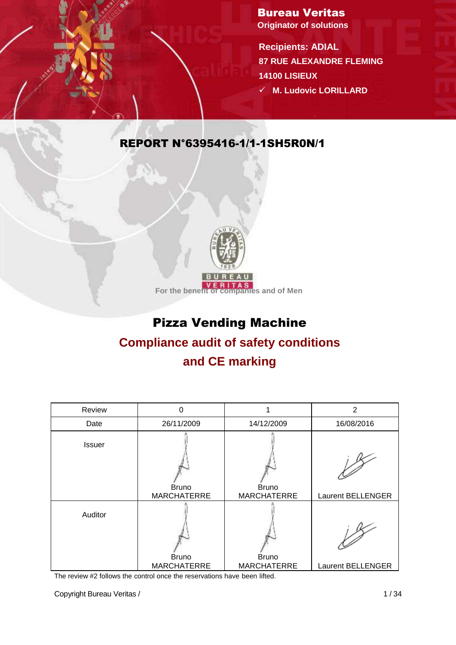Bureau Veritas **Originator of solutions**

**Recipients: ADIAL 87 RUE ALEXANDRE FLEMING 14100 LISIEUX M. Ludovic LORILLARD** 

### REPORT N°6395416-1/1-1SH5R0N/1



## Pizza Vending Machine

# **Compliance audit of safety conditions**

## **and CE marking**

| Review        | 0                  |                    | $\overline{2}$           |
|---------------|--------------------|--------------------|--------------------------|
| Date          | 26/11/2009         | 14/12/2009         | 16/08/2016               |
| <b>Issuer</b> | <b>Bruno</b>       | <b>Bruno</b>       |                          |
|               | <b>MARCHATERRE</b> | <b>MARCHATERRE</b> | Laurent BELLENGER        |
| Auditor       | <b>Bruno</b>       | <b>Bruno</b>       |                          |
|               | <b>MARCHATERRE</b> | <b>MARCHATERRE</b> | <b>Laurent BELLENGER</b> |

The review #2 follows the control once the reservations have been lifted.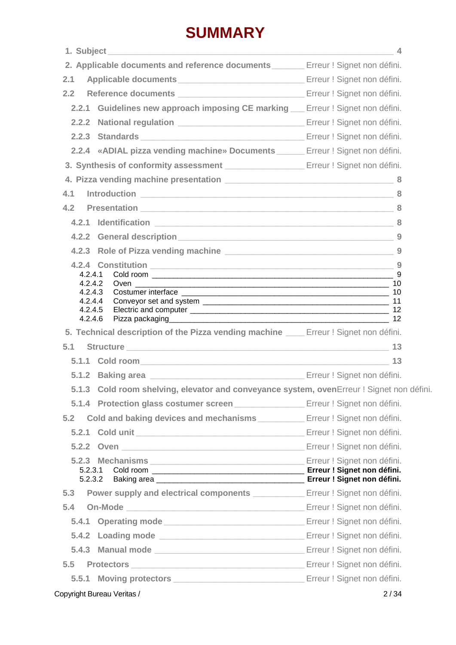## **SUMMARY**

|                                                                                                             | 4 |
|-------------------------------------------------------------------------------------------------------------|---|
| 2. Applicable documents and reference documents _______ Erreur ! Signet non défini.                         |   |
| 2.1                                                                                                         |   |
| 2.2                                                                                                         |   |
| 2.2.1 Guidelines new approach imposing CE marking __ Erreur ! Signet non défini.                            |   |
|                                                                                                             |   |
|                                                                                                             |   |
| 2.2.4 «ADIAL pizza vending machine» Documents ______ Erreur ! Signet non défini.                            |   |
|                                                                                                             |   |
|                                                                                                             |   |
| 4.1                                                                                                         |   |
| 4.2<br>Presentation 2008 2012 2022 2023 2024 2024 2022 2024 2022 2024 2022 2024 2022 2024 2022 2022 2022 20 |   |
|                                                                                                             |   |
|                                                                                                             |   |
|                                                                                                             |   |
|                                                                                                             |   |
| 4.2.4.1<br>4.2.4.2                                                                                          |   |
|                                                                                                             |   |
| 4.2.4.3                                                                                                     |   |
| 4.2.4.4<br>4.2.4.5                                                                                          |   |
| 4.2.4.6                                                                                                     |   |
| 5. Technical description of the Pizza vending machine _____ Erreur ! Signet non défini.                     |   |
|                                                                                                             |   |
| 5.1.1 Cold room 13                                                                                          |   |
|                                                                                                             |   |
| 5.1.3 Cold room shelving, elevator and conveyance system, ovenErreur ! Signet non défini.                   |   |
| 5.1.4 Protection glass costumer screen Erreur! Signet non défini.                                           |   |
| <b>Cold and baking devices and mechanisms Erreur!</b> Signet non défini.                                    |   |
| 5.2.1 Cold unit <b>Example 2.2.1</b> Cold unit <b>Example 2.2.1</b> Erreur ! Signet non défini.             |   |
| 5.1 Structure 13<br>5.2<br>5.2.2 Oven Erreur! Signet non défini.                                            |   |
|                                                                                                             |   |
| 5.2.3.1<br>5.2.3.2                                                                                          |   |
| Power supply and electrical components _____________ Erreur ! Signet non défini.                            |   |
|                                                                                                             |   |
| 5.4<br>5.4.1                                                                                                |   |
|                                                                                                             |   |
|                                                                                                             |   |
|                                                                                                             |   |
| 5.3<br>5.5<br>5.5.1                                                                                         |   |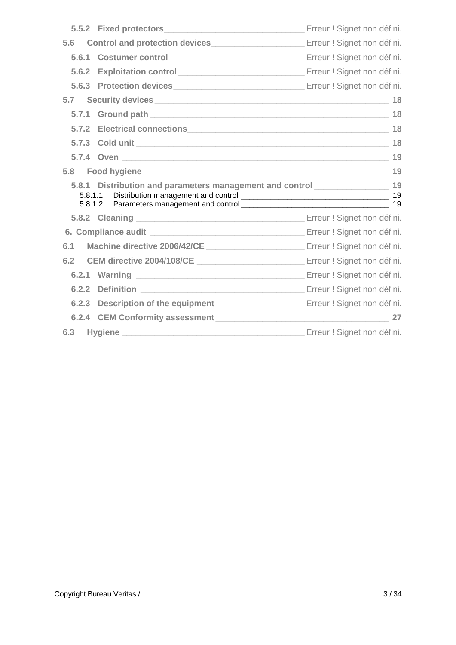|       | 5.5.2 Fixed protectors <b>Example 20</b> Erreur ! Signet non défini.                          |    |
|-------|-----------------------------------------------------------------------------------------------|----|
| 5.6   |                                                                                               |    |
|       |                                                                                               |    |
| 5.6.2 |                                                                                               |    |
|       |                                                                                               |    |
|       |                                                                                               |    |
|       |                                                                                               | 18 |
|       |                                                                                               |    |
|       |                                                                                               |    |
|       |                                                                                               | 19 |
|       |                                                                                               |    |
|       |                                                                                               |    |
|       | 5.8.1 Distribution and parameters management and control ______________________ 19<br>5.8.1.2 |    |
|       |                                                                                               |    |
|       |                                                                                               |    |
| 6.1   |                                                                                               |    |
| 6.2   |                                                                                               |    |
|       |                                                                                               |    |
|       |                                                                                               |    |
|       |                                                                                               |    |
|       |                                                                                               | 27 |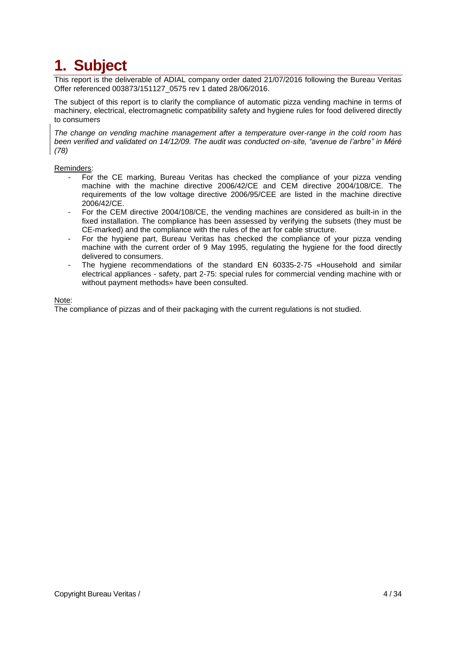## **1. Subject**

This report is the deliverable of ADIAL company order dated 21/07/2016 following the Bureau Veritas Offer referenced 003873/151127\_0575 rev 1 dated 28/06/2016.

The subject of this report is to clarify the compliance of automatic pizza vending machine in terms of machinery, electrical, electromagnetic compatibility safety and hygiene rules for food delivered directly to consumers

*The change on vending machine management after a temperature over-range in the cold room has been verified and validated on 14/12/09. The audit was conducted on-site, "avenue de l'arbre" in Méré (78)*

#### Reminders:

- For the CE marking, Bureau Veritas has checked the compliance of your pizza vending machine with the machine directive 2006/42/CE and CEM directive 2004/108/CE. The requirements of the low voltage directive 2006/95/CEE are listed in the machine directive 2006/42/CE.
- For the CEM directive 2004/108/CE, the vending machines are considered as built-in in the fixed installation. The compliance has been assessed by verifying the subsets (they must be CE-marked) and the compliance with the rules of the art for cable structure.
- For the hygiene part, Bureau Veritas has checked the compliance of your pizza vending machine with the current order of 9 May 1995, regulating the hygiene for the food directly delivered to consumers.
- The hygiene recommendations of the standard EN 60335-2-75 «Household and similar electrical appliances - safety, part 2-75: special rules for commercial vending machine with or without payment methods» have been consulted.

#### Note:

The compliance of pizzas and of their packaging with the current regulations is not studied.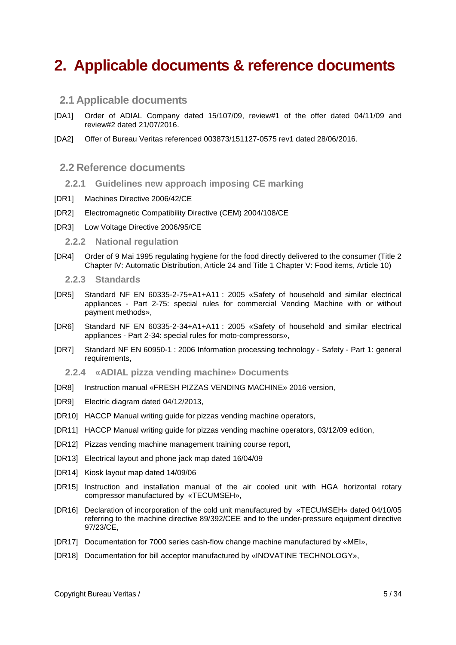## **2. Applicable documents & reference documents**

#### **2.1 Applicable documents**

- [DA1] Order of ADIAL Company dated 15/107/09, review#1 of the offer dated 04/11/09 and review#2 dated 21/07/2016.
- [DA2] Offer of Bureau Veritas referenced 003873/151127-0575 rev1 dated 28/06/2016.

#### **2.2 Reference documents**

- **2.2.1 Guidelines new approach imposing CE marking**
- [DR1] Machines Directive 2006/42/CE
- [DR2] Electromagnetic Compatibility Directive (CEM) 2004/108/CE
- [DR3] Low Voltage Directive 2006/95/CE

**2.2.2 National regulation**

- <span id="page-4-1"></span>[DR4] Order of 9 Mai 1995 regulating hygiene for the food directly delivered to the consumer (Title 2 Chapter IV: Automatic Distribution, Article 24 and Title 1 Chapter V: Food items, Article 10)
	- **2.2.3 Standards**
- <span id="page-4-5"></span>[DR5] Standard NF EN 60335-2-75+A1+A11 : 2005 «Safety of household and similar electrical appliances - Part 2-75: special rules for commercial Vending Machine with or without payment methods»,
- [DR6] Standard NF EN 60335-2-34+A1+A11 : 2005 «Safety of household and similar electrical appliances - Part 2-34: special rules for moto-compressors»,
- [DR7] Standard NF EN 60950-1 : 2006 Information processing technology Safety Part 1: general requirements.
	- **2.2.4 «ADIAL pizza vending machine» Documents**
- <span id="page-4-2"></span>[DR8] Instruction manual «FRESH PIZZAS VENDING MACHINE» 2016 version,
- [DR9] Electric diagram dated 04/12/2013,
- <span id="page-4-3"></span>[DR10] HACCP Manual writing guide for pizzas vending machine operators,
- <span id="page-4-6"></span>[DR11] HACCP Manual writing guide for pizzas vending machine operators, 03/12/09 edition,
- [DR12] Pizzas vending machine management training course report,
- <span id="page-4-4"></span>[DR13] Electrical layout and phone jack map dated 16/04/09
- <span id="page-4-0"></span>[DR14] Kiosk layout map dated 14/09/06
- [DR15] Instruction and installation manual of the air cooled unit with HGA horizontal rotary compressor manufactured by «TECUMSEH»,
- [DR16] Declaration of incorporation of the cold unit manufactured by «TECUMSEH» dated 04/10/05 referring to the machine directive 89/392/CEE and to the under-pressure equipment directive 97/23/CE,
- [DR17] Documentation for 7000 series cash-flow change machine manufactured by «MEI»,
- [DR18] Documentation for bill acceptor manufactured by «INOVATINE TECHNOLOGY»,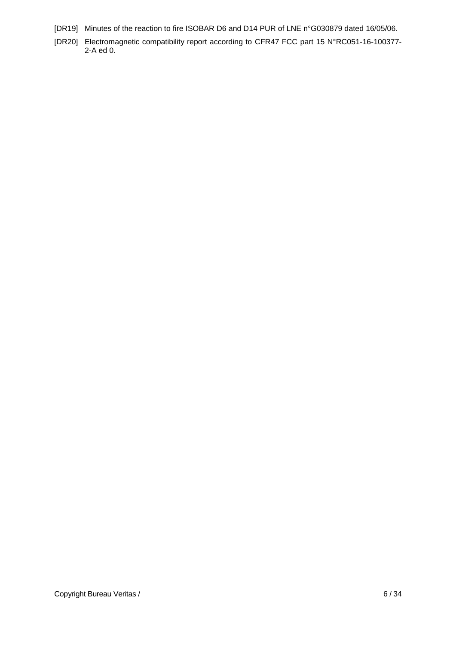- <span id="page-5-1"></span><span id="page-5-0"></span>[DR19] Minutes of the reaction to fire ISOBAR D6 and D14 PUR of LNE n°G030879 dated 16/05/06.
- [DR20] Electromagnetic compatibility report according to CFR47 FCC part 15 N°RC051-16-100377- 2-A ed 0.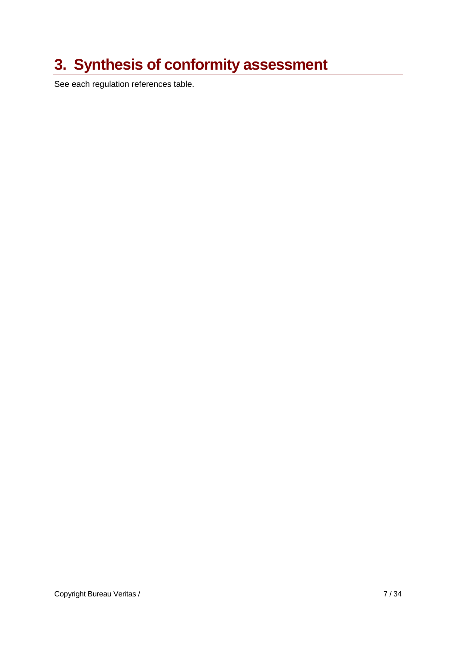## **3. Synthesis of conformity assessment**

See each regulation references table.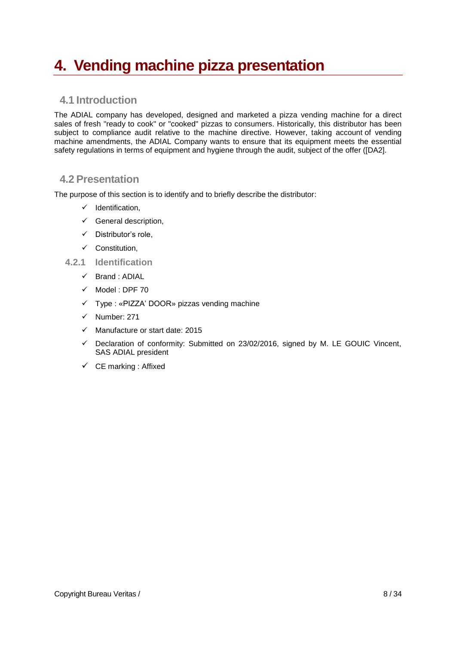## **4. Vending machine pizza presentation**

### **4.1 Introduction**

The ADIAL company has developed, designed and marketed a pizza vending machine for a direct sales of fresh "ready to cook" or "cooked" pizzas to consumers. Historically, this distributor has been subject to compliance audit relative to the machine directive. However, taking account of vending machine amendments, the ADIAL Company wants to ensure that its equipment meets the essential safety regulations in terms of equipment and hygiene through the audit, subject of the offer ([DA2].

#### **4.2 Presentation**

The purpose of this section is to identify and to briefly describe the distributor:

- $\checkmark$  Identification,
- $\checkmark$  General description,
- $\checkmark$  Distributor's role.
- $\checkmark$  Constitution.
- **4.2.1 Identification**
	- $\checkmark$  Brand : ADIAL
	- $\checkmark$  Model : DPF 70
	- Type : «PIZZA' DOOR» pizzas vending machine
	- $\checkmark$  Number: 271
	- $\checkmark$  Manufacture or start date: 2015
	- $\checkmark$  Declaration of conformity: Submitted on 23/02/2016, signed by M. LE GOUIC Vincent, SAS ADIAL president
	- $\checkmark$  CE marking : Affixed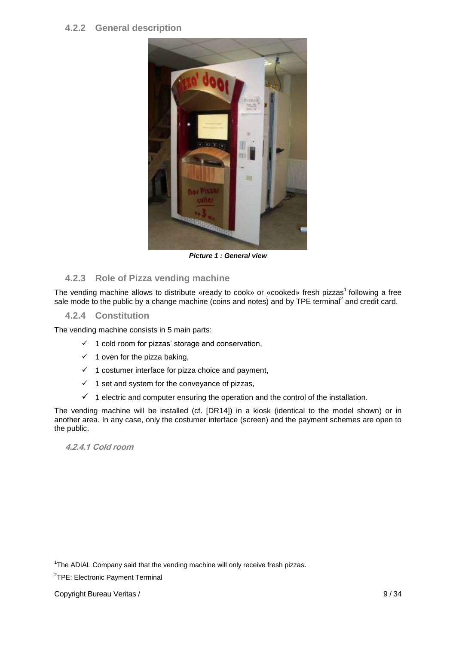#### **4.2.2 General description**



*Picture 1 : General view*

#### **4.2.3 Role of Pizza vending machine**

The vending machine allows to distribute «ready to cook» or «cooked» fresh pizzas<sup>1</sup> following a free sale mode to the public by a change machine (coins and notes) and by TPE terminal<sup>2</sup> and credit card.

**4.2.4 Constitution**

The vending machine consists in 5 main parts:

- $\checkmark$  1 cold room for pizzas' storage and conservation,
- $\checkmark$  1 oven for the pizza baking,
- $\checkmark$  1 costumer interface for pizza choice and payment,
- $\checkmark$  1 set and system for the conveyance of pizzas,
- $1$  electric and computer ensuring the operation and the control of the installation.

The vending machine will be installed (cf. [\[DR14\]\)](#page-4-0) in a kiosk (identical to the model shown) or in another area. In any case, only the costumer interface (screen) and the payment schemes are open to the public.

**4.2.4.1 Cold room**

<sup>&</sup>lt;sup>1</sup>The ADIAL Company said that the vending machine will only receive fresh pizzas.

<sup>&</sup>lt;sup>2</sup>TPE: Electronic Payment Terminal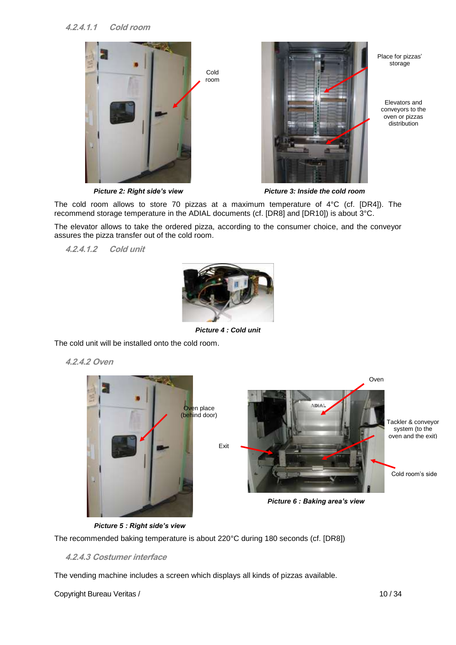#### **4.2.4.1.1 Cold room**





Place for pizzas' storage

Elevators and conveyors to the oven or pizzas distribution

*Picture 2: Right side's view Picture 3: Inside the cold room*

The cold room allows to store 70 pizzas at a maximum temperature of 4°C (cf. [\[DR4\]\)](#page-4-1). The recommend storage temperature in the ADIAL documents (cf. [\[DR8\]](#page-4-2) and [\[DR10\]\)](#page-4-3) is about 3°C.

The elevator allows to take the ordered pizza, according to the consumer choice, and the conveyor assures the pizza transfer out of the cold room.

**4.2.4.1.2 Cold unit**

<span id="page-9-0"></span>

*Picture 4 : Cold unit*

<span id="page-9-2"></span>The cold unit will be installed onto the cold room.

**4.2.4.2 Oven**



<span id="page-9-1"></span>*Picture 5 : Right side's view*

<span id="page-9-3"></span>The recommended baking temperature is about 220°C during 180 seconds (cf. [\[DR8\]\)](#page-4-2)

#### **4.2.4.3 Costumer interface**

The vending machine includes a screen which displays all kinds of pizzas available.

Copyright Bureau Veritas / 10 / 34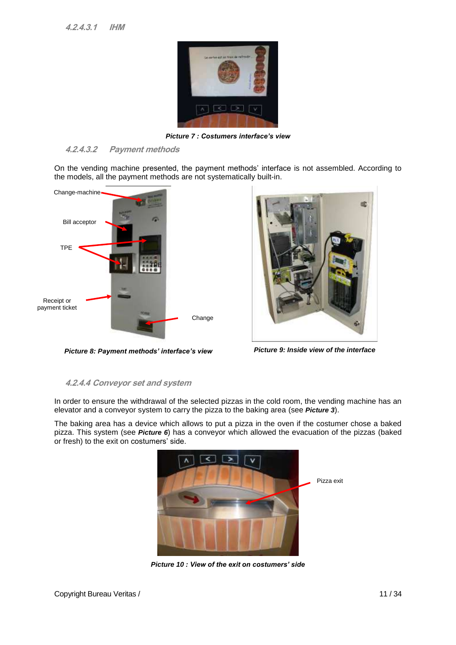

*Picture 7 : Costumers interface's view*

#### **4.2.4.3.2 Payment methods**

On the vending machine presented, the payment methods' interface is not assembled. According to the models, all the payment methods are not systematically built-in.



<span id="page-10-1"></span>*Picture 8: Payment methods' interface's view Picture 9: Inside view of the interface*



#### **4.2.4.4 Conveyor set and system**

In order to ensure the withdrawal of the selected pizzas in the cold room, the vending machine has an elevator and a conveyor system to carry the pizza to the baking area (see *[Picture](#page-9-0) 3*).

<span id="page-10-0"></span>The baking area has a device which allows to put a pizza in the oven if the costumer chose a baked pizza. This system (see *[Picture](#page-9-1) 6*) has a conveyor which allowed the evacuation of the pizzas (baked or fresh) to the exit on costumers' side.



*Picture 10 : View of the exit on costumers' side*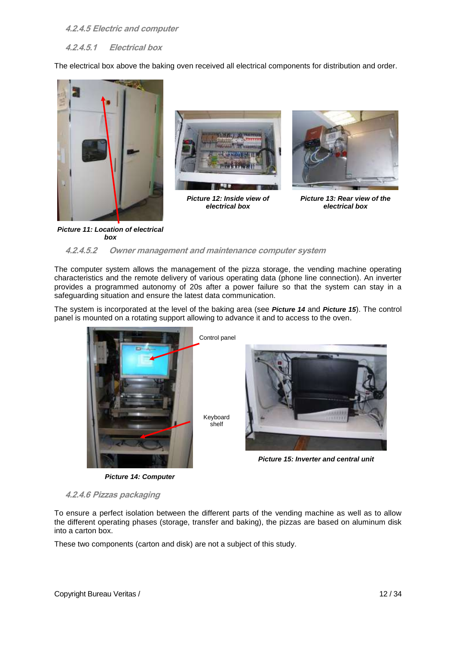#### **4.2.4.5 Electric and computer**

**4.2.4.5.1 Electrical box**

The electrical box above the baking oven received all electrical components for distribution and order.





*Picture 12: Inside view of electrical box*



*Picture 13: Rear view of the electrical box*

#### <span id="page-11-3"></span>*Picture 11: Location of electrical box*

#### **4.2.4.5.2 Owner management and maintenance computer system**

The computer system allows the management of the pizza storage, the vending machine operating characteristics and the remote delivery of various operating data (phone line connection). An inverter provides a programmed autonomy of 20s after a power failure so that the system can stay in a safeguarding situation and ensure the latest data communication.

The system is incorporated at the level of the baking area (see *[Picture](#page-11-0) 14* and *[Picture](#page-11-1) 15*). The control panel is mounted on a rotating support allowing to advance it and to access to the oven.



*Picture 14: Computer*



*Picture 15: Inverter and central unit*

<span id="page-11-2"></span><span id="page-11-0"></span>**4.2.4.6 Pizzas packaging**

To ensure a perfect isolation between the different parts of the vending machine as well as to allow the different operating phases (storage, transfer and baking), the pizzas are based on aluminum disk into a carton box.

<span id="page-11-1"></span>[shelf](http://www.linguee.fr/anglais-francais/traduction/keyboard+shelf.html)

These two components (carton and disk) are not a subject of this study.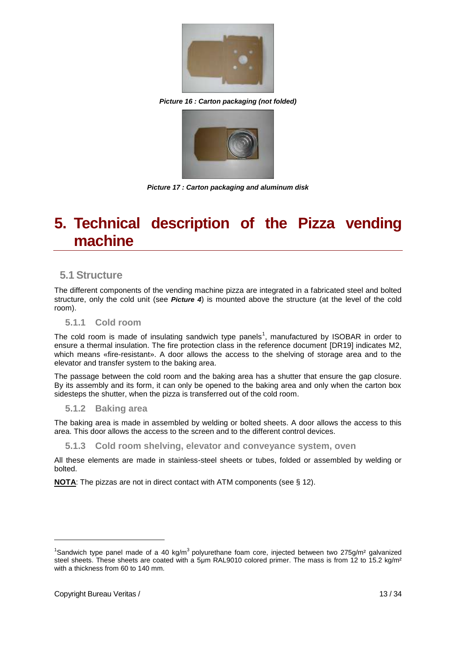

*Picture 16 : Carton packaging (not folded)*

<span id="page-12-0"></span>

*Picture 17 : Carton packaging and aluminum disk*

## **5. Technical description of the Pizza vending machine**

#### **5.1 Structure**

The different components of the vending machine pizza are integrated in a fabricated steel and bolted structure, only the cold unit (see *[Picture 4](#page-9-2)*) is mounted above the structure (at the level of the cold room).

#### **5.1.1 Cold room**

The cold room is made of insulating sandwich type panels<sup>1</sup>, manufactured by ISOBAR in order to ensure a thermal insulation. The fire protection class in the reference document [\[DR19\]](#page-5-0) indicates M2, which means «fire-resistant». A door allows the access to the shelving of storage area and to the elevator and transfer system to the baking area.

The passage between the cold room and the baking area has a shutter that ensure the gap closure. By its assembly and its form, it can only be opened to the baking area and only when the carton box sidesteps the shutter, when the pizza is transferred out of the cold room.

#### **5.1.2 Baking area**

The baking area is made in assembled by welding or bolted sheets. A door allows the access to this area. This door allows the access to the screen and to the different control devices.

#### **5.1.3 Cold room shelving, elevator and conveyance system, oven**

All these elements are made in stainless-steel sheets or tubes, folded or assembled by welding or bolted.

**NOTA**: The pizzas are not in direct contact with ATM components (see § [12\)](#page-11-2).

<sup>&</sup>lt;sup>1</sup>Sandwich type panel made of a 40 kg/m<sup>3</sup> polyurethane foam core, injected between two 275g/m<sup>2</sup> galvanized steel sheets. These sheets are coated with a 5µm RAL9010 colored primer. The mass is from 12 to 15.2 kg/m<sup>2</sup> with a thickness from 60 to 140 mm.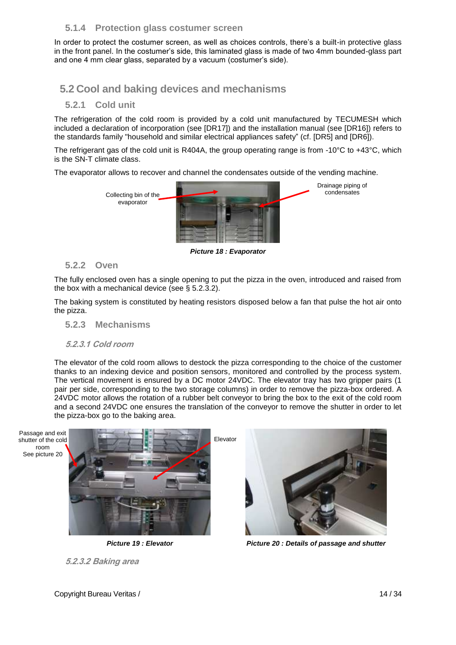#### **5.1.4 Protection glass costumer screen**

In order to protect the costumer screen, as well as choices controls, there's a built-in protective glass in the front panel. In the costumer's side, this laminated glass is made of two 4mm bounded-glass part and one 4 mm clear glass, separated by a vacuum (costumer's side).

### **5.2 Cool and baking devices and mechanisms**

#### **5.2.1 Cold unit**

The refrigeration of the cold room is provided by a cold unit manufactured by TECUMESH which included a declaration of incorporation (see [DR17]) and the installation manual (see [DR16]) refers to the standards family "household and similar electrical appliances safety" (cf. [DR5] and [DR6]).

The refrigerant gas of the cold unit is R404A, the group operating range is from -10°C to +43°C, which is the SN-T climate class.

The evaporator allows to recover and channel the condensates outside of the vending machine.



*Picture 18 : Evaporator*

#### **5.2.2 Oven**

The fully enclosed oven has a single opening to put the pizza in the oven, introduced and raised from the box with a mechanical device (see § 5.2.3.2).

The baking system is constituted by heating resistors disposed below a fan that pulse the hot air onto the pizza.

**5.2.3 Mechanisms**

#### **5.2.3.1 Cold room**

The elevator of the cold room allows to destock the pizza corresponding to the choice of the customer thanks to an indexing device and position sensors, monitored and controlled by the process system. The vertical movement is ensured by a DC motor 24VDC. The elevator tray has two gripper pairs (1 pair per side, corresponding to the two storage columns) in order to remove the pizza-box ordered. A 24VDC motor allows the rotation of a rubber belt conveyor to bring the box to the exit of the cold room and a second 24VDC one ensures the translation of the conveyor to remove the shutter in order to let the pizza-box go to the baking area.



*Picture 19 : Elevator Picture 20 : Details of passage and shutter*



**5.2.3.2 Baking area**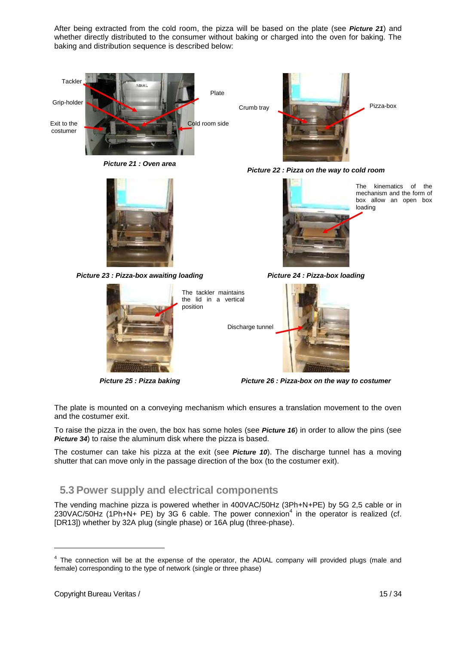After being extracted from the cold room, the pizza will be based on the plate (see *[Picture](#page-14-0) 21*) and whether directly distributed to the consumer without baking or charged into the oven for baking. The baking and distribution sequence is described below:



*Picture 21 : Oven area*

<span id="page-14-0"></span>

*Picture 23 : Pizza-box awaiting loading Picture 24 : Pizza-box loading*



The tackler maintains the lid in a vertical

Discharge tunnel



*Picture 22 : Pizza on the way to cold room*



The kinematics of the mechanism and the form of box allow an open box loading



*Picture 25 : Pizza baking Picture 26 : Pizza-box on the way to costumer*

The plate is mounted on a conveying mechanism which ensures a translation movement to the oven and the costumer exit.

To raise the pizza in the oven, the box has some holes (see *[Picture](#page-12-0) 16*) in order to allow the pins (see *[Picture](#page-19-0) 34*) to raise the aluminum disk where the pizza is based.

The costumer can take his pizza at the exit (see *[Picture](#page-10-0) 10*). The discharge tunnel has a moving shutter that can move only in the passage direction of the box (to the costumer exit).

### **5.3 Power supply and electrical components**

The vending machine pizza is powered whether in 400VAC/50Hz (3Ph+N+PE) by 5G 2,5 cable or in  $230$ VAC/50Hz (1Ph+N+ PE) by 3G 6 cable. The power connexion<sup>4</sup> in the operator is realized (cf. [\[DR13\]\)](#page-4-4) whether by 32A plug (single phase) or 16A plug (three-phase).

 $4$  The connection will be at the expense of the operator, the ADIAL company will provided plugs (male and female) corresponding to the type of network (single or three phase)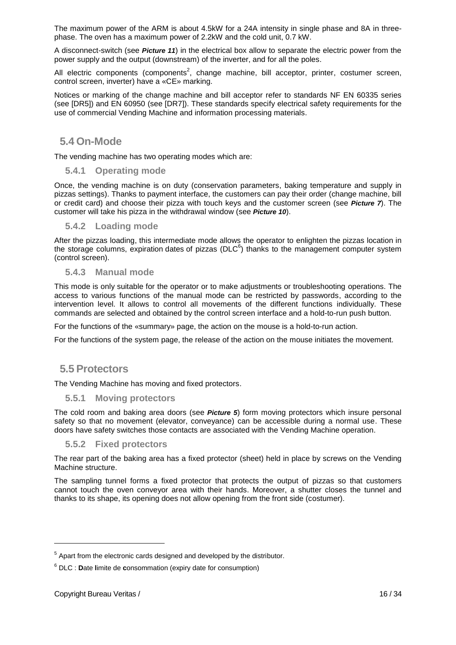The maximum power of the ARM is about 4.5kW for a 24A intensity in single phase and 8A in threephase. The oven has a maximum power of 2.2kW and the cold unit, 0.7 kW.

A disconnect-switch (see *[Picture](#page-11-3) 11*) in the electrical box allow to separate the electric power from the power supply and the output (downstream) of the inverter, and for all the poles.

All electric components (components<sup>2</sup>, change machine, bill acceptor, printer, costumer screen, control screen, inverter) have a «CE» marking.

Notices or marking of the change machine and bill acceptor refer to standards NF EN 60335 series (see [DR5]) and EN 60950 (see [DR7]). These standards specify electrical safety requirements for the use of commercial Vending Machine and information processing materials.

#### **5.4 On-Mode**

The vending machine has two operating modes which are:

#### **5.4.1 Operating mode**

Once, the vending machine is on duty (conservation parameters, baking temperature and supply in pizzas settings). Thanks to payment interface, the customers can pay their order (change machine, bill or credit card) and choose their pizza with touch keys and the customer screen (see *Picture 7*). The customer will take his pizza in the withdrawal window (see *[Picture](#page-10-0) 10*).

#### **5.4.2 Loading mode**

After the pizzas loading, this intermediate mode allows the operator to enlighten the pizzas location in the storage columns, expiration dates of pizzas (DLC $<sup>6</sup>$ ) thanks to the management computer system</sup> (control screen).

#### **5.4.3 Manual mode**

This mode is only suitable for the operator or to make adjustments or troubleshooting operations. The access to various functions of the manual mode can be restricted by passwords, according to the intervention level. It allows to control all movements of the different functions individually. These commands are selected and obtained by the control screen interface and a hold-to-run push button.

For the functions of the «summary» page, the action on the mouse is a hold-to-run action.

For the functions of the system page, the release of the action on the mouse initiates the movement.

#### **5.5 Protectors**

The Vending Machine has moving and fixed protectors.

#### **5.5.1 Moving protectors**

The cold room and baking area doors (see *[Picture](#page-9-3) 5*) form moving protectors which insure personal safety so that no movement (elevator, conveyance) can be accessible during a normal use. These doors have safety switches those contacts are associated with the Vending Machine operation.

#### **5.5.2 Fixed protectors**

The rear part of the baking area has a fixed protector (sheet) held in place by screws on the Vending Machine structure.

The sampling tunnel forms a fixed protector that protects the output of pizzas so that customers cannot touch the oven conveyor area with their hands. Moreover, a shutter closes the tunnel and thanks to its shape, its opening does not allow opening from the front side (costumer).

 $5$  Apart from the electronic cards designed and developed by the distributor.

<sup>6</sup> DLC : **D**ate **l**imite de **c**onsommation (expiry date for consumption)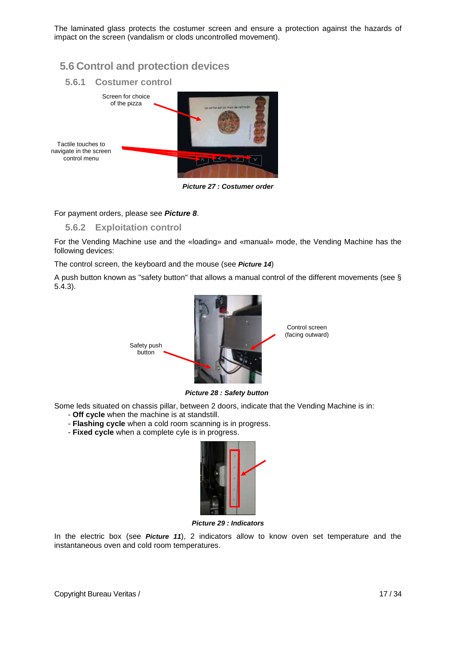The laminated glass protects the costumer screen and ensure a protection against the hazards of impact on the screen (vandalism or clods uncontrolled movement).

### **5.6 Control and protection devices**



*Picture 27 : Costumer order*

#### For payment orders, please see *[Picture](#page-10-1) 8*.

#### **5.6.2 Exploitation control**

For the Vending Machine use and the «loading» and «manual» mode, the Vending Machine has the following devices:

The control screen, the keyboard and the mouse (see *[Picture](#page-11-0) 14*)

A push button known as "safety button" that allows a manual control of the different movements (see § 5.4.3).



*Picture 28 : Safety button*

Some leds situated on chassis pillar, between 2 doors, indicate that the Vending Machine is in:

- **Off cycle** when the machine is at standstill.
- **Flashing cycle** when a cold room scanning is in progress.
- **Fixed cycle** when a complete cyle is in progress.



*Picture 29 : Indicators*

In the electric box (see *[Picture](#page-11-3) 11*), 2 indicators allow to know oven set temperature and the instantaneous oven and cold room temperatures.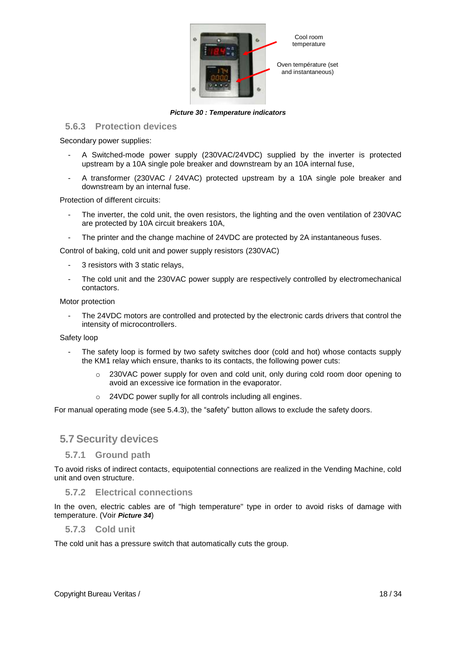

*Picture 30 : Temperature indicators*

#### <span id="page-17-0"></span>**5.6.3 Protection devices**

Secondary power supplies:

- A Switched-mode power supply (230VAC/24VDC) supplied by the inverter is protected upstream by a 10A single pole breaker and downstream by an 10A internal fuse,
- A transformer (230VAC / 24VAC) protected upstream by a 10A single pole breaker and downstream by an internal fuse.

Protection of different circuits:

- The inverter, the cold unit, the oven resistors, the lighting and the oven ventilation of 230VAC are protected by 10A circuit breakers 10A,
- The printer and the change machine of 24VDC are protected by 2A instantaneous fuses.

Control of baking, cold unit and power supply resistors (230VAC)

- 3 resistors with 3 static relays,
- The cold unit and the 230VAC power supply are respectively controlled by electromechanical contactors.

#### Motor protection

- The 24VDC motors are controlled and protected by the electronic cards drivers that control the intensity of microcontrollers.

#### Safety loop

- The safety loop is formed by two safety switches door (cold and hot) whose contacts supply the KM1 relay which ensure, thanks to its contacts, the following power cuts:
	- $\circ$  230VAC power supply for oven and cold unit, only during cold room door opening to avoid an excessive ice formation in the evaporator.
	- o 24VDC power suplly for all controls including all engines.

For manual operating mode (see 5.4.3), the "safety" button allows to exclude the safety doors.

#### **5.7 Security devices**

#### **5.7.1 Ground path**

To avoid risks of indirect contacts, equipotential connections are realized in the Vending Machine, cold unit and oven structure.

#### **5.7.2 Electrical connections**

In the oven, electric cables are of "high temperature" type in order to avoid risks of damage with temperature. (Voir *[Picture](#page-19-0) 34*)

#### **5.7.3 Cold unit**

The cold unit has a pressure switch that automatically cuts the group.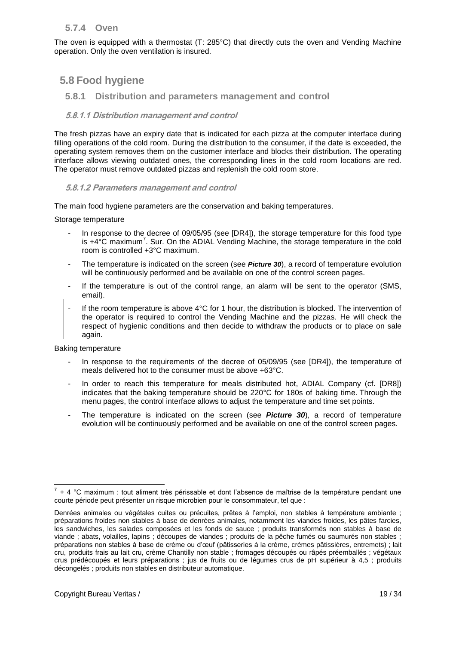#### **5.7.4 Oven**

The oven is equipped with a thermostat (T: 285°C) that directly cuts the oven and Vending Machine operation. Only the oven ventilation is insured.

### **5.8 Food hygiene**

#### **5.8.1 Distribution and parameters management and control**

#### **5.8.1.1 Distribution management and control**

The fresh pizzas have an expiry date that is indicated for each pizza at the computer interface during filling operations of the cold room. During the distribution to the consumer, if the date is exceeded, the operating system removes them on the customer interface and blocks their distribution. The operating interface allows viewing outdated ones, the corresponding lines in the cold room locations are red. The operator must remove outdated pizzas and replenish the cold room store.

#### **5.8.1.2 Parameters management and control**

The main food hygiene parameters are the conservation and baking temperatures.

Storage temperature

- In response to the decree of 09/05/95 (see [DR4]), the storage temperature for this food type is  $+4^{\circ}$ C maximum<sup>7</sup>. Sur. On the ADIAL Vending Machine, the storage temperature in the cold room is controlled +3°C maximum.
- The temperature is indicated on the screen (see *[Picture](#page-17-0) 30*), a record of temperature evolution will be continuously performed and be available on one of the control screen pages.
- If the temperature is out of the control range, an alarm will be sent to the operator (SMS, email).
- If the room temperature is above 4°C for 1 hour, the distribution is blocked. The intervention of the operator is required to control the Vending Machine and the pizzas. He will check the respect of hygienic conditions and then decide to withdraw the products or to place on sale again.

#### Baking temperature

- In response to the requirements of the decree of 05/09/95 (see [DR4]), the temperature of meals delivered hot to the consumer must be above +63°C.
- In order to reach this temperature for meals distributed hot, ADIAL Company (cf. [DR8]) indicates that the baking temperature should be 220°C for 180s of baking time. Through the menu pages, the control interface allows to adjust the temperature and time set points.
- The temperature is indicated on the screen (see *Picture 30*), a record of temperature evolution will be continuously performed and be available on one of the control screen pages.

<sup>&</sup>lt;u>ta de la condice de la condice de la condice de magno de la condice de la température pendant une</u><br>Terma de la température de la condant une person de la température pendant une courte période peut présenter un risque microbien pour le consommateur, tel que :

Denrées animales ou végétales cuites ou précuites, prêtes à l'emploi, non stables à température ambiante ; préparations froides non stables à base de denrées animales, notamment les viandes froides, les pâtes farcies, les sandwiches, les salades composées et les fonds de sauce ; produits transformés non stables à base de viande ; abats, volailles, lapins ; découpes de viandes ; produits de la pêche fumés ou saumurés non stables ; préparations non stables à base de crème ou d'œuf (pâtisseries à la crème, crèmes pâtissières, entremets) ; lait cru, produits frais au lait cru, crème Chantilly non stable ; fromages découpés ou râpés préemballés ; végétaux crus prédécoupés et leurs préparations ; jus de fruits ou de légumes crus de pH supérieur à 4,5 ; produits décongelés ; produits non stables en distributeur automatique.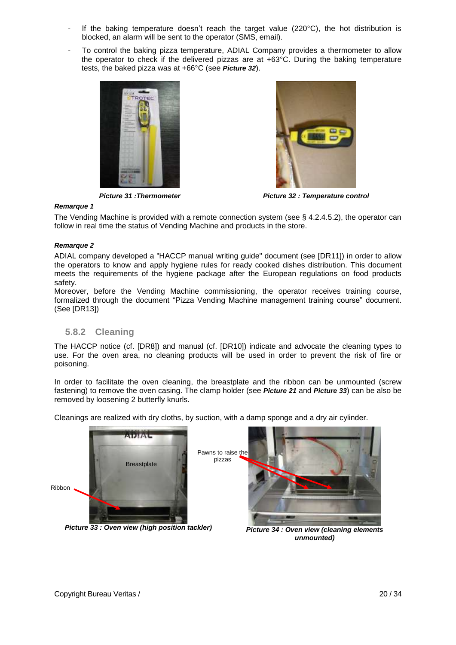- If the baking temperature doesn't reach the target value  $(220^{\circ}C)$ , the hot distribution is blocked, an alarm will be sent to the operator (SMS, email).
- To control the baking pizza temperature, ADIAL Company provides a thermometer to allow the operator to check if the delivered pizzas are at +63°C. During the baking temperature tests, the baked pizza was at +66°C (see *[Picture](#page-19-1) 32*).



<span id="page-19-1"></span>

*Picture 31 :Thermometer Picture 32 : Temperature control*

#### *Remarque 1*

The Vending Machine is provided with a remote connection system (see § 4.2.4.5.2), the operator can follow in real time the status of Vending Machine and products in the store.

#### *Remarque 2*

ADIAL company developed a "HACCP manual writing guide" document (see [DR11]) in order to allow the operators to know and apply hygiene rules for ready cooked dishes distribution. This document meets the requirements of the hygiene package after the European regulations on food products safety.

Moreover, before the Vending Machine commissioning, the operator receives training course, formalized through the document "Pizza Vending Machine management training course" document. (See [DR13])

#### **5.8.2 Cleaning**

The HACCP notice (cf. [\[DR8\]\)](#page-4-2) and manual (cf. [\[DR10\]\)](#page-4-3) indicate and advocate the cleaning types to use. For the oven area, no cleaning products will be used in order to prevent the risk of fire or poisoning.

In order to facilitate the oven cleaning, the breastplate and the ribbon can be unmounted (screw fastening) to remove the oven casing. The clamp holder (see *[Picture](#page-14-0) 21* and *[Picture](#page-19-2) 33*) can be also be removed by loosening 2 butterfly knurls.

Cleanings are realized with dry cloths, by suction, with a damp sponge and a dry air cylinder.

<span id="page-19-0"></span>pizzas

<span id="page-19-2"></span>

*Picture 33 : Oven view (high position tackler) Picture 34 : Oven view (cleaning elements* 



*unmounted)*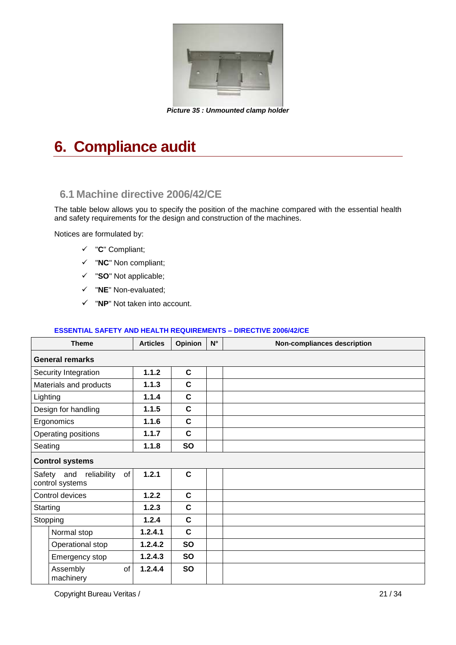

*Picture 35 : Unmounted clamp holder*

## **6. Compliance audit**

### **6.1 Machine directive 2006/42/CE**

The table below allows you to specify the position of the machine compared with the essential health and safety requirements for the design and construction of the machines.

Notices are formulated by:

- "**C**" Compliant;
- "**NC**" Non compliant;
- "**SO**" Not applicable;
- "**NE**" Non-evaluated;
- "**NP**" Not taken into account.

#### **ESSENTIAL SAFETY AND HEALTH REQUIREMENTS – DIRECTIVE 2006/42/CE**

|          | <b>Theme</b>                                       | <b>Articles</b> | Opinion      | $\mathsf{N}^\circ$ | Non-compliances description |
|----------|----------------------------------------------------|-----------------|--------------|--------------------|-----------------------------|
|          | <b>General remarks</b>                             |                 |              |                    |                             |
|          | Security Integration                               | 1.1.2           | $\mathbf{C}$ |                    |                             |
|          | Materials and products                             | 1.1.3           | $\mathbf{C}$ |                    |                             |
| Lighting |                                                    | 1.1.4           | $\mathbf{C}$ |                    |                             |
|          | Design for handling                                | 1.1.5           | C            |                    |                             |
|          | Ergonomics                                         | 1.1.6           | $\mathbf{C}$ |                    |                             |
|          | Operating positions                                | 1.1.7           | $\mathbf{C}$ |                    |                             |
| Seating  |                                                    | 1.1.8           | <b>SO</b>    |                    |                             |
|          | <b>Control systems</b>                             |                 |              |                    |                             |
|          | reliability<br>of<br>Safety and<br>control systems | 1.2.1           | $\mathbf{C}$ |                    |                             |
|          | Control devices                                    | 1.2.2           | $\mathbf{C}$ |                    |                             |
| Starting |                                                    | 1.2.3           | $\mathbf{C}$ |                    |                             |
| Stopping |                                                    | 1.2.4           | $\mathbf{C}$ |                    |                             |
|          | Normal stop                                        | 1.2.4.1         | $\mathbf{C}$ |                    |                             |
|          | Operational stop                                   | 1.2.4.2         | <b>SO</b>    |                    |                             |
|          | Emergency stop                                     | 1.2.4.3         | <b>SO</b>    |                    |                             |
|          | Assembly<br>of<br>machinery                        | 1.2.4.4         | <b>SO</b>    |                    |                             |

Copyright Bureau Veritas / 21 / 34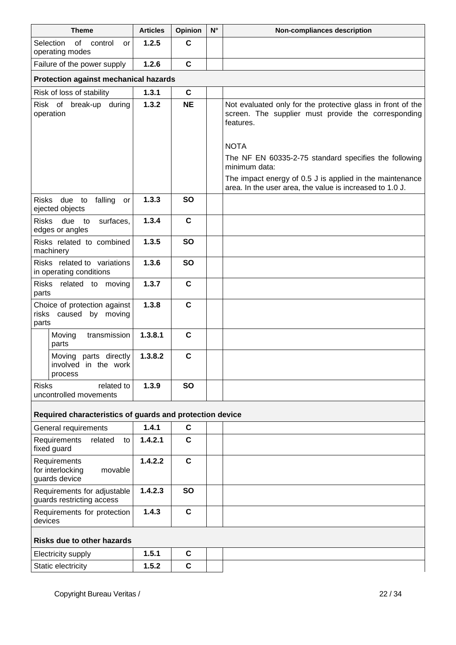| <b>Theme</b>                                                    | <b>Articles</b> | Opinion     | $N^{\circ}$ | Non-compliances description                                                                                                     |
|-----------------------------------------------------------------|-----------------|-------------|-------------|---------------------------------------------------------------------------------------------------------------------------------|
| Selection<br>of<br>control<br>or<br>operating modes             | 1.2.5           | $\mathbf c$ |             |                                                                                                                                 |
| Failure of the power supply                                     | 1.2.6           | $\mathbf c$ |             |                                                                                                                                 |
| Protection against mechanical hazards                           |                 |             |             |                                                                                                                                 |
| Risk of loss of stability                                       | 1.3.1           | $\mathbf c$ |             |                                                                                                                                 |
| Risk of break-up<br>during<br>operation                         | 1.3.2           | <b>NE</b>   |             | Not evaluated only for the protective glass in front of the<br>screen. The supplier must provide the corresponding<br>features. |
|                                                                 |                 |             |             | <b>NOTA</b>                                                                                                                     |
|                                                                 |                 |             |             | The NF EN 60335-2-75 standard specifies the following<br>minimum data:                                                          |
|                                                                 |                 |             |             | The impact energy of 0.5 J is applied in the maintenance<br>area. In the user area, the value is increased to 1.0 J.            |
| Risks due to<br>falling<br>or<br>ejected objects                | 1.3.3           | <b>SO</b>   |             |                                                                                                                                 |
| due<br><b>Risks</b><br>to<br>surfaces.<br>edges or angles       | 1.3.4           | $\mathbf c$ |             |                                                                                                                                 |
| Risks related to combined<br>machinery                          | 1.3.5           | <b>SO</b>   |             |                                                                                                                                 |
| Risks related to variations<br>in operating conditions          | 1.3.6           | <b>SO</b>   |             |                                                                                                                                 |
| Risks related to moving<br>parts                                | 1.3.7           | $\mathbf C$ |             |                                                                                                                                 |
| Choice of protection against<br>risks caused by moving<br>parts | 1.3.8           | $\mathbf c$ |             |                                                                                                                                 |
| Moving<br>transmission<br>parts                                 | 1.3.8.1         | $\mathbf c$ |             |                                                                                                                                 |
| Moving parts directly<br>involved in the work<br>process        | 1.3.8.2         | $\mathbf c$ |             |                                                                                                                                 |
| related to<br><b>Risks</b><br>uncontrolled movements            | 1.3.9           | <b>SO</b>   |             |                                                                                                                                 |
| Required characteristics of guards and protection device        |                 |             |             |                                                                                                                                 |
| General requirements                                            | 1.4.1           | $\mathbf c$ |             |                                                                                                                                 |
| Requirements<br>related<br>to<br>fixed guard                    | 1.4.2.1         | $\mathbf c$ |             |                                                                                                                                 |
| Requirements<br>for interlocking<br>movable<br>guards device    | 1.4.2.2         | $\mathbf c$ |             |                                                                                                                                 |
| Requirements for adjustable<br>guards restricting access        | 1.4.2.3         | <b>SO</b>   |             |                                                                                                                                 |
| Requirements for protection<br>devices                          | 1.4.3           | $\mathbf c$ |             |                                                                                                                                 |
| <b>Risks due to other hazards</b>                               |                 |             |             |                                                                                                                                 |
| Electricity supply                                              | 1.5.1           | $\mathbf c$ |             |                                                                                                                                 |
| Static electricity                                              | 1.5.2           | $\mathbf c$ |             |                                                                                                                                 |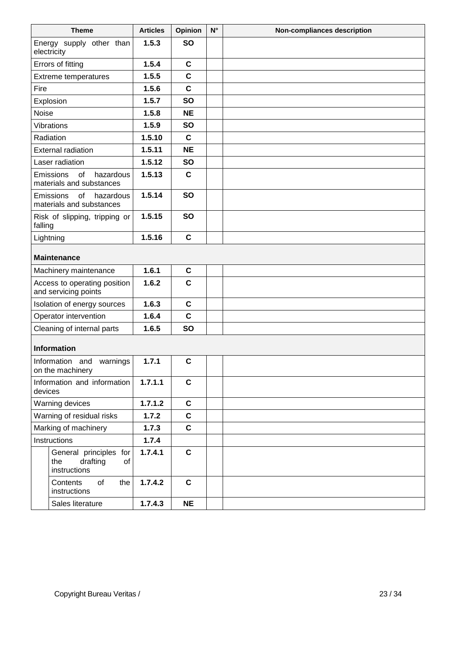|           | <b>Theme</b>                                                    | <b>Articles</b> | Opinion      | $N^{\circ}$ | <b>Non-compliances description</b> |
|-----------|-----------------------------------------------------------------|-----------------|--------------|-------------|------------------------------------|
|           | Energy supply other than<br>electricity                         | 1.5.3           | <b>SO</b>    |             |                                    |
|           | Errors of fitting                                               | 1.5.4           | $\mathbf c$  |             |                                    |
|           | Extreme temperatures                                            | 1.5.5           | $\mathbf c$  |             |                                    |
| Fire      |                                                                 | 1.5.6           | $\mathbf{C}$ |             |                                    |
|           | Explosion                                                       | 1.5.7           | <b>SO</b>    |             |                                    |
| Noise     |                                                                 | 1.5.8           | <b>NE</b>    |             |                                    |
|           | Vibrations                                                      | 1.5.9           | <b>SO</b>    |             |                                    |
|           | Radiation                                                       | 1.5.10          | $\mathbf C$  |             |                                    |
|           | <b>External radiation</b>                                       | 1.5.11          | <b>NE</b>    |             |                                    |
|           | Laser radiation                                                 | 1.5.12          | <b>SO</b>    |             |                                    |
|           | Emissions<br>of<br>hazardous<br>materials and substances        | 1.5.13          | $\mathbf{C}$ |             |                                    |
|           | Emissions<br>of hazardous<br>materials and substances           | 1.5.14          | <b>SO</b>    |             |                                    |
| falling   | Risk of slipping, tripping or                                   | 1.5.15          | <b>SO</b>    |             |                                    |
| Lightning |                                                                 | 1.5.16          | C            |             |                                    |
|           | <b>Maintenance</b>                                              |                 |              |             |                                    |
|           | Machinery maintenance                                           | 1.6.1           | $\mathbf c$  |             |                                    |
|           | Access to operating position<br>and servicing points            | 1.6.2           | $\mathbf c$  |             |                                    |
|           | Isolation of energy sources                                     | 1.6.3           | C            |             |                                    |
|           | Operator intervention                                           | 1.6.4           | $\mathbf c$  |             |                                    |
|           | Cleaning of internal parts                                      | 1.6.5           | <b>SO</b>    |             |                                    |
|           | <b>Information</b>                                              |                 |              |             |                                    |
|           | Information and warnings<br>on the machinery                    | 1.7.1           | $\mathbf c$  |             |                                    |
| devices   | Information and information                                     | 1.7.1.1         | C            |             |                                    |
|           | Warning devices                                                 | 1.7.1.2         | $\mathbf c$  |             |                                    |
|           | Warning of residual risks                                       | 1.7.2           | $\mathbf c$  |             |                                    |
|           | Marking of machinery                                            | 1.7.3           | $\mathbf c$  |             |                                    |
|           | Instructions                                                    | 1.7.4           |              |             |                                    |
|           | General principles for<br>drafting<br>the<br>of<br>instructions | 1.7.4.1         | $\mathbf c$  |             |                                    |
|           | Contents<br>of<br>the<br>instructions                           | 1.7.4.2         | $\mathbf c$  |             |                                    |
|           | Sales literature                                                | 1.7.4.3         | <b>NE</b>    |             |                                    |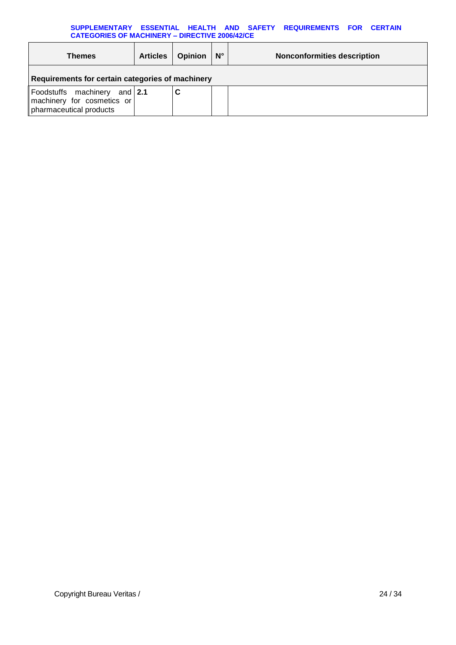#### **SUPPLEMENTARY ESSENTIAL HEALTH AND SAFETY REQUIREMENTS FOR CERTAIN CATEGORIES OF MACHINERY – DIRECTIVE 2006/42/CE**

| <b>Themes</b>                                                                         | <b>Articles</b> | <b>Opinion</b> | $\mathsf{N}^\circ$ | <b>Nonconformities description</b> |
|---------------------------------------------------------------------------------------|-----------------|----------------|--------------------|------------------------------------|
| Requirements for certain categories of machinery                                      |                 |                |                    |                                    |
| Foodstuffs machinery and 2.1<br>machinery for cosmetics or<br>pharmaceutical products |                 |                |                    |                                    |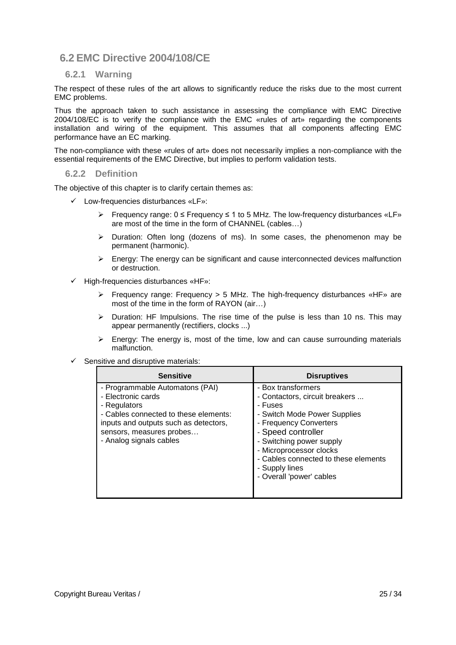### **6.2 EMC Directive 2004/108/CE**

#### **6.2.1 Warning**

The respect of these rules of the art allows to significantly reduce the risks due to the most current EMC problems.

Thus the approach taken to such assistance in assessing the compliance with EMC Directive 2004/108/EC is to verify the compliance with the EMC «rules of art» regarding the components installation and wiring of the equipment. This assumes that all components affecting EMC performance have an EC marking.

The non-compliance with these «rules of art» does not necessarily implies a non-compliance with the essential requirements of the EMC Directive, but implies to perform validation tests.

#### **6.2.2 Definition**

The objective of this chapter is to clarify certain themes as:

- $\checkmark$  Low-frequencies disturbances «LF»:
	- Frequency range:  $0 \leq$  Frequency  $\leq$  1 to 5 MHz. The low-frequency disturbances «LF» are most of the time in the form of CHANNEL (cables…)
	- $\triangleright$  Duration: Often long (dozens of ms). In some cases, the phenomenon may be permanent (harmonic).
	- $\triangleright$  Energy: The energy can be significant and cause interconnected devices malfunction or destruction.
- High-frequencies disturbances «HF»:
	- Frequency range: Frequency > 5 MHz. The high-frequency disturbances «HF» are most of the time in the form of RAYON (air…)
	- $\triangleright$  Duration: HF Impulsions. The rise time of the pulse is less than 10 ns. This may appear permanently (rectifiers, clocks ...)
	- $\triangleright$  Energy: The energy is, most of the time, low and can cause surrounding materials malfunction.
- Sensitive and disruptive materials:

| <b>Sensitive</b>                                                                                                                                                                                               | <b>Disruptives</b>                                                                                                                                                                                                                                                                           |
|----------------------------------------------------------------------------------------------------------------------------------------------------------------------------------------------------------------|----------------------------------------------------------------------------------------------------------------------------------------------------------------------------------------------------------------------------------------------------------------------------------------------|
| - Programmable Automatons (PAI)<br>- Electronic cards<br>- Regulators<br>- Cables connected to these elements:<br>inputs and outputs such as detectors,<br>sensors, measures probes<br>- Analog signals cables | - Box transformers<br>- Contactors, circuit breakers<br>- Fuses<br>- Switch Mode Power Supplies<br>- Frequency Converters<br>- Speed controller<br>- Switching power supply<br>- Microprocessor clocks<br>- Cables connected to these elements<br>- Supply lines<br>- Overall 'power' cables |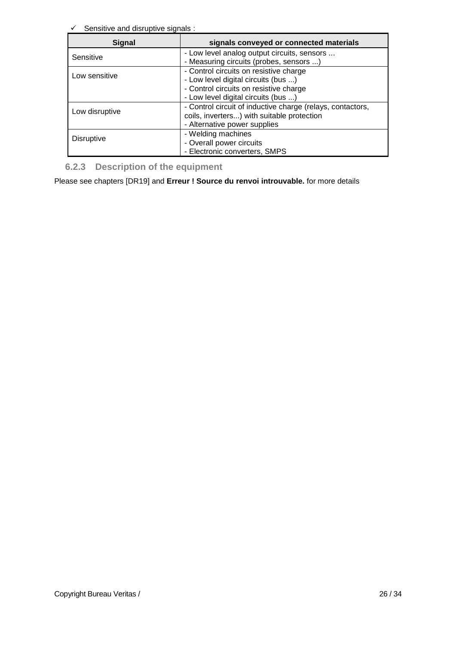$\checkmark$  Sensitive and disruptive signals :

| <b>Signal</b>     | signals conveyed or connected materials                                                                                                                        |
|-------------------|----------------------------------------------------------------------------------------------------------------------------------------------------------------|
| Sensitive         | - Low level analog output circuits, sensors<br>- Measuring circuits (probes, sensors )                                                                         |
| Low sensitive     | - Control circuits on resistive charge<br>- Low level digital circuits (bus )<br>- Control circuits on resistive charge<br>- Low level digital circuits (bus ) |
| Low disruptive    | - Control circuit of inductive charge (relays, contactors,<br>coils, inverters) with suitable protection<br>- Alternative power supplies                       |
| <b>Disruptive</b> | - Welding machines<br>- Overall power circuits<br>- Electronic converters, SMPS                                                                                |

**6.2.3 Description of the equipment**

Please see chapters [\[DR19\]](#page-5-1) and **Erreur ! Source du renvoi introuvable.** for more details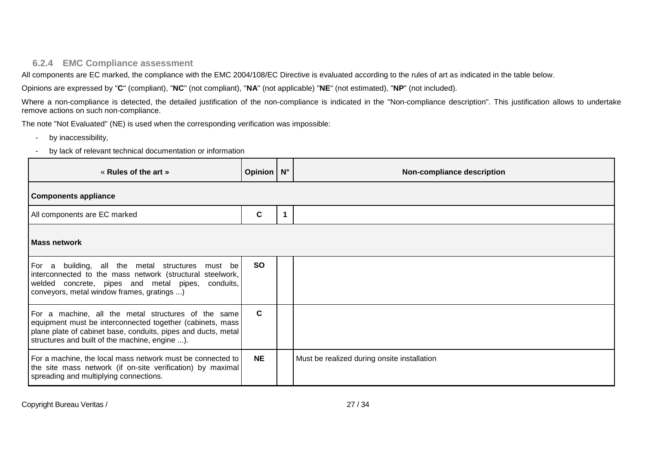#### **6.2.4 EMC Compliance assessment**

All components are EC marked, the compliance with the EMC 2004/108/EC Directive is evaluated according to the rules of art as indicated in the table below.

Opinions are expressed by "**C**" (compliant), "**NC**" (not compliant), "**NA**" (not applicable) "**NE**" (not estimated), "**NP**" (not included).

Where a non-compliance is detected, the detailed justification of the non-compliance is indicated in the "Non-compliance description". This justification allows to undertake remove actions on such non-compliance.

The note "Not Evaluated" (NE) is used when the corresponding verification was impossible:

- by inaccessibility,
- by lack of relevant technical documentation or information

| « Rules of the art »                                                                                                                                                                                                                 | Opinion   N° |  | Non-compliance description                  |  |
|--------------------------------------------------------------------------------------------------------------------------------------------------------------------------------------------------------------------------------------|--------------|--|---------------------------------------------|--|
| <b>Components appliance</b>                                                                                                                                                                                                          |              |  |                                             |  |
| All components are EC marked                                                                                                                                                                                                         | C            |  |                                             |  |
| l Mass network                                                                                                                                                                                                                       |              |  |                                             |  |
| For a building, all the metal structures must be<br>interconnected to the mass network (structural steelwork,<br>welded concrete, pipes and metal pipes, conduits,<br>conveyors, metal window frames, gratings )                     | <b>SO</b>    |  |                                             |  |
| For a machine, all the metal structures of the same<br>equipment must be interconnected together (cabinets, mass)<br>plane plate of cabinet base, conduits, pipes and ducts, metal<br>structures and built of the machine, engine ). | C            |  |                                             |  |
| For a machine, the local mass network must be connected to<br>the site mass network (if on-site verification) by maximal<br>spreading and multiplying connections.                                                                   | <b>NE</b>    |  | Must be realized during onsite installation |  |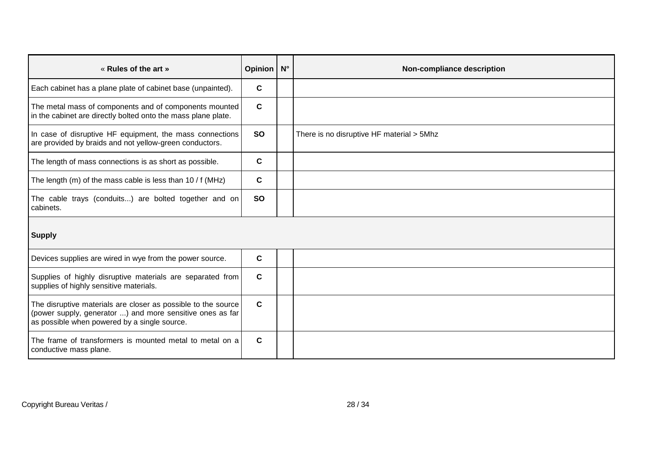| « Rules of the art »                                                                                                                                                       | Opinion   N° | Non-compliance description                |
|----------------------------------------------------------------------------------------------------------------------------------------------------------------------------|--------------|-------------------------------------------|
| Each cabinet has a plane plate of cabinet base (unpainted).                                                                                                                | C            |                                           |
| The metal mass of components and of components mounted<br>in the cabinet are directly bolted onto the mass plane plate.                                                    | C            |                                           |
| In case of disruptive HF equipment, the mass connections<br>are provided by braids and not yellow-green conductors.                                                        | <b>SO</b>    | There is no disruptive HF material > 5Mhz |
| The length of mass connections is as short as possible.                                                                                                                    | C            |                                           |
| The length (m) of the mass cable is less than $10/$ f (MHz)                                                                                                                | C            |                                           |
| The cable trays (conduits) are bolted together and on<br>cabinets.                                                                                                         | <b>SO</b>    |                                           |
| <b>Supply</b>                                                                                                                                                              |              |                                           |
| Devices supplies are wired in wye from the power source.                                                                                                                   | $\mathbf c$  |                                           |
| Supplies of highly disruptive materials are separated from<br>supplies of highly sensitive materials.                                                                      | $\mathbf c$  |                                           |
| The disruptive materials are closer as possible to the source<br>(power supply, generator ) and more sensitive ones as far<br>as possible when powered by a single source. | $\mathbf{C}$ |                                           |
| The frame of transformers is mounted metal to metal on a<br>conductive mass plane.                                                                                         | C            |                                           |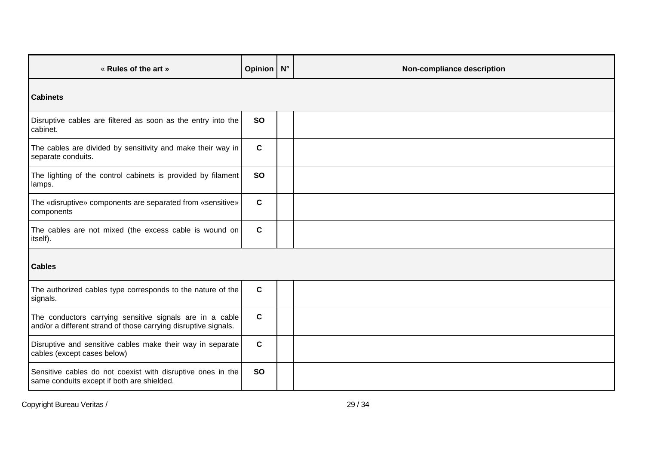| « Rules of the art »                                                                                                        | Opinion N°  |  | Non-compliance description |  |  |  |
|-----------------------------------------------------------------------------------------------------------------------------|-------------|--|----------------------------|--|--|--|
| <b>Cabinets</b>                                                                                                             |             |  |                            |  |  |  |
| Disruptive cables are filtered as soon as the entry into the<br>cabinet.                                                    | <b>SO</b>   |  |                            |  |  |  |
| The cables are divided by sensitivity and make their way in<br>separate conduits.                                           | $\mathbf c$ |  |                            |  |  |  |
| The lighting of the control cabinets is provided by filament<br>lamps.                                                      | <b>SO</b>   |  |                            |  |  |  |
| The «disruptive» components are separated from «sensitive»<br>components                                                    | $\mathbf c$ |  |                            |  |  |  |
| The cables are not mixed (the excess cable is wound on<br>itself).                                                          | $\mathbf c$ |  |                            |  |  |  |
| <b>Cables</b>                                                                                                               |             |  |                            |  |  |  |
| The authorized cables type corresponds to the nature of the<br>signals.                                                     | $\mathbf c$ |  |                            |  |  |  |
| The conductors carrying sensitive signals are in a cable<br>and/or a different strand of those carrying disruptive signals. | $\mathbf c$ |  |                            |  |  |  |
| Disruptive and sensitive cables make their way in separate<br>cables (except cases below)                                   | $\mathbf c$ |  |                            |  |  |  |
| Sensitive cables do not coexist with disruptive ones in the<br>same conduits except if both are shielded.                   | <b>SO</b>   |  |                            |  |  |  |

Copyright Bureau Veritas / 29 / 34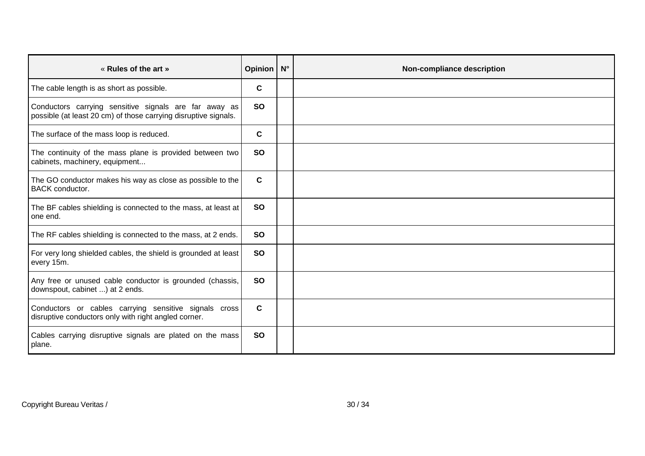| « Rules of the art »                                                                                                     | Opinion N° | Non-compliance description |
|--------------------------------------------------------------------------------------------------------------------------|------------|----------------------------|
| The cable length is as short as possible.                                                                                | C          |                            |
| Conductors carrying sensitive signals are far away as<br>possible (at least 20 cm) of those carrying disruptive signals. | <b>SO</b>  |                            |
| The surface of the mass loop is reduced.                                                                                 | C          |                            |
| The continuity of the mass plane is provided between two<br>cabinets, machinery, equipment                               | <b>SO</b>  |                            |
| The GO conductor makes his way as close as possible to the<br><b>BACK</b> conductor.                                     | C.         |                            |
| The BF cables shielding is connected to the mass, at least at<br>one end.                                                | <b>SO</b>  |                            |
| The RF cables shielding is connected to the mass, at 2 ends.                                                             | <b>SO</b>  |                            |
| For very long shielded cables, the shield is grounded at least<br>every 15m.                                             | <b>SO</b>  |                            |
| Any free or unused cable conductor is grounded (chassis,<br>downspout, cabinet ) at 2 ends.                              | <b>SO</b>  |                            |
| Conductors or cables carrying sensitive signals cross<br>disruptive conductors only with right angled corner.            | C          |                            |
| Cables carrying disruptive signals are plated on the mass<br>plane.                                                      | <b>SO</b>  |                            |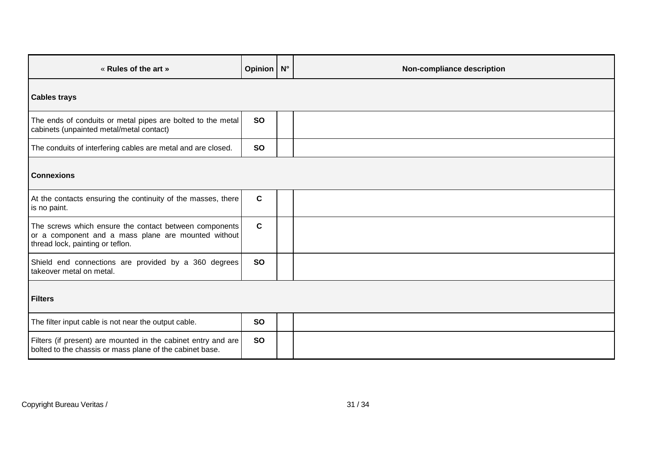| « Rules of the art »                                                                                                                              | Opinion   N° | Non-compliance description |
|---------------------------------------------------------------------------------------------------------------------------------------------------|--------------|----------------------------|
| <b>Cables trays</b>                                                                                                                               |              |                            |
| The ends of conduits or metal pipes are bolted to the metal<br>cabinets (unpainted metal/metal contact)                                           | <b>SO</b>    |                            |
| The conduits of interfering cables are metal and are closed.                                                                                      | <b>SO</b>    |                            |
| <b>Connexions</b>                                                                                                                                 |              |                            |
| At the contacts ensuring the continuity of the masses, there<br>is no paint.                                                                      | $\mathbf c$  |                            |
| The screws which ensure the contact between components<br>or a component and a mass plane are mounted without<br>thread lock, painting or teflon. | $\mathbf c$  |                            |
| Shield end connections are provided by a 360 degrees<br>takeover metal on metal.                                                                  | <b>SO</b>    |                            |
| <b>Filters</b>                                                                                                                                    |              |                            |
| The filter input cable is not near the output cable.                                                                                              | <b>SO</b>    |                            |
| Filters (if present) are mounted in the cabinet entry and are<br>bolted to the chassis or mass plane of the cabinet base.                         | <b>SO</b>    |                            |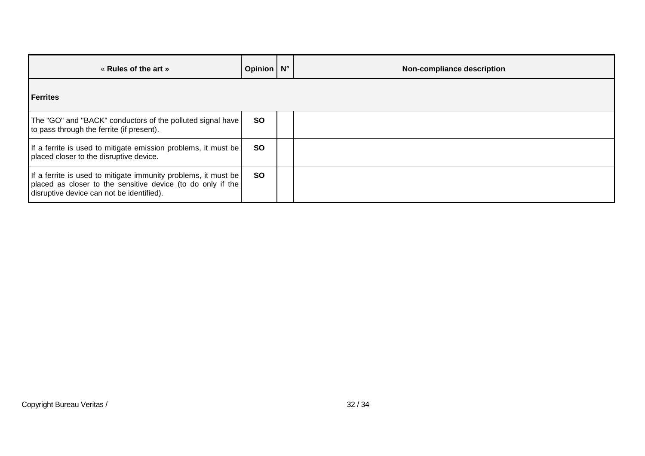| « Rules of the art »                                                                                                                                                       | Opinion   N° | Non-compliance description |
|----------------------------------------------------------------------------------------------------------------------------------------------------------------------------|--------------|----------------------------|
| <b>Ferrites</b>                                                                                                                                                            |              |                            |
| The "GO" and "BACK" conductors of the polluted signal have<br>to pass through the ferrite (if present).                                                                    | <b>SO</b>    |                            |
| If a ferrite is used to mitigate emission problems, it must be<br>placed closer to the disruptive device.                                                                  | <b>SO</b>    |                            |
| If a ferrite is used to mitigate immunity problems, it must be<br>placed as closer to the sensitive device (to do only if the<br>disruptive device can not be identified). | <b>SO</b>    |                            |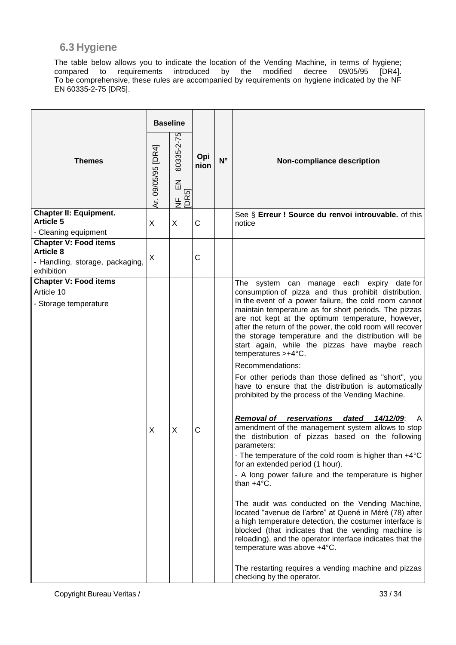### **6.3 Hygiene**

The table below allows you to indicate the location of the Vending Machine, in terms of hygiene;<br>compared to requirements introduced by the modified decree 09/05/95 [DR4]. compared to requirements introduced by the modified To be comprehensive, these rules are accompanied by requirements on hygiene indicated by the NF EN 60335-2-75 [DR5].